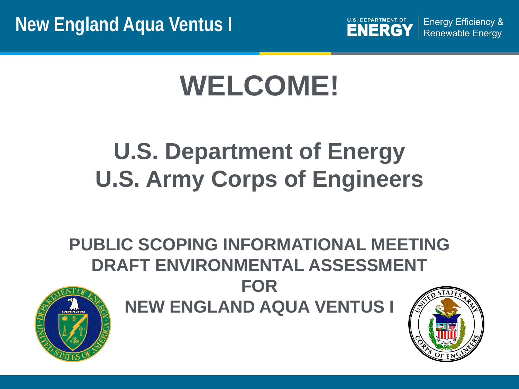

**Energy Efficiency & Renewable Energy** 

# **WELCOME!**

# **U.S. Department of Energy U.S. Army Corps of Engineers**

**PUBLIC SCOPING INFORMATIONAL MEETING DRAFT ENVIRONMENTAL ASSESSMENT FOR NEW ENGLAND AQUA VENTUS I**



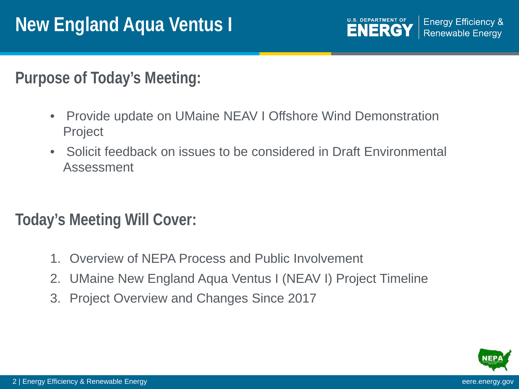**Purpose of Today's Meeting:**

- Provide update on UMaine NEAV I Offshore Wind Demonstration Project
- Solicit feedback on issues to be considered in Draft Environmental Assessment

**Today's Meeting Will Cover:**

- 1. Overview of NEPA Process and Public Involvement
- 2. UMaine New England Aqua Ventus I (NEAV I) Project Timeline
- 3. Project Overview and Changes Since 2017

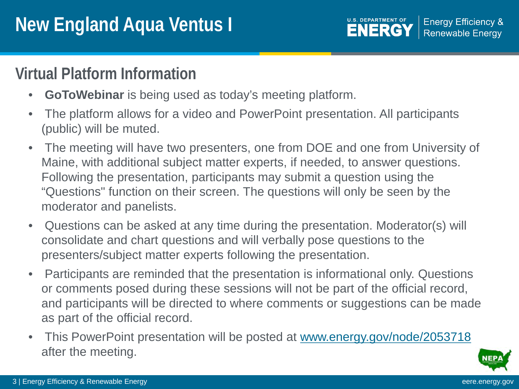#### **U.S. DEPARTMENT OF Energy Efficiency & ENERGY Renewable Energy**

### **Virtual Platform Information**

- **GoToWebinar** is being used as today's meeting platform.
- The platform allows for a video and PowerPoint presentation. All participants (public) will be muted.
- The meeting will have two presenters, one from DOE and one from University of Maine, with additional subject matter experts, if needed, to answer questions. Following the presentation, participants may submit a question using the "Questions" function on their screen. The questions will only be seen by the moderator and panelists.
- Questions can be asked at any time during the presentation. Moderator(s) will consolidate and chart questions and will verbally pose questions to the presenters/subject matter experts following the presentation.
- Participants are reminded that the presentation is informational only. Questions or comments posed during these sessions will not be part of the official record, and participants will be directed to where comments or suggestions can be made as part of the official record.
- This PowerPoint presentation will be posted at [www.energy.gov/node/2053718](http://www.energy.gov/node/2053718) after the meeting.

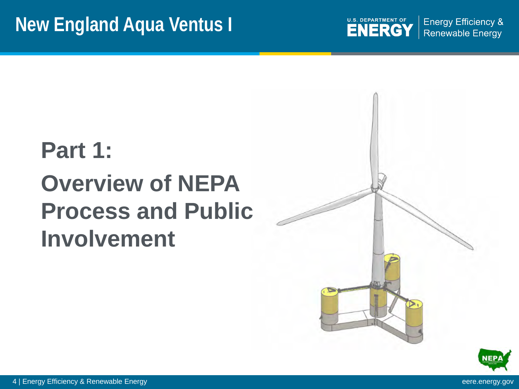

**Energy Efficiency & Renewable Energy** 

# **Part 1: Overview of NEPA Process and Public Involvement**





4 | Energy Efficiency & Renewable Energy eere.energy.gov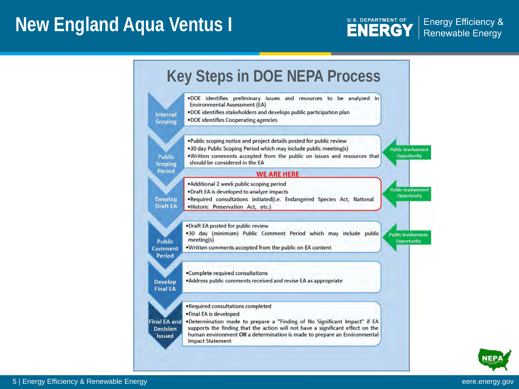

**Energy Efficiency &** Renewable Energy



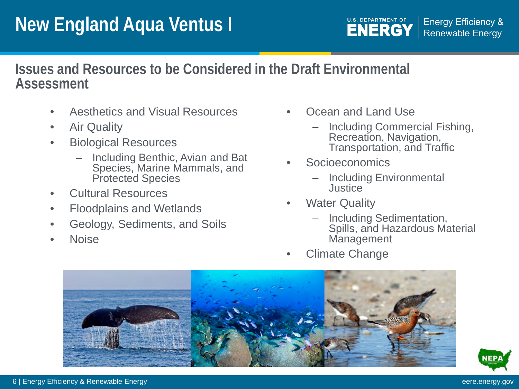### **Issues and Resources to be Considered in the Draft Environmental Assessment**

- Aesthetics and Visual Resources
- Air Quality
- Biological Resources
	- Including Benthic, Avian and Bat Species, Marine Mammals, and Protected Species
- Cultural Resources
- Floodplains and Wetlands
- Geology, Sediments, and Soils
- Noise
- Ocean and Land Use
	- Including Commercial Fishing, Recreation, Navigation, Transportation, and Traffic
- **Socioeconomics** 
	- Including Environmental **Justice**
- **Water Quality** 
	- Including Sedimentation, Spills, and Hazardous Material **Management**
- Climate Change



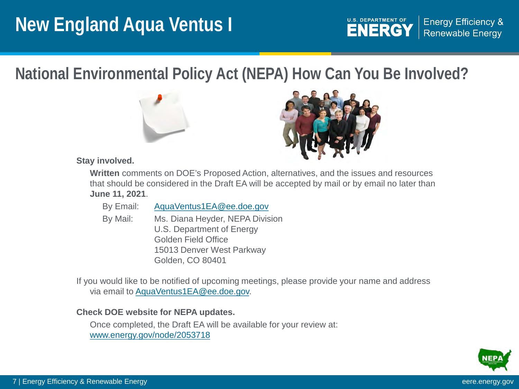

**National Environmental Policy Act (NEPA) National Environmental Policy Act (NEPA) How Can You Be Involved?**





#### **Stay involved.**

**Written** comments on DOE's Proposed Action, alternatives, and the issues and resources that should be considered in the Draft EA will be accepted by mail or by email no later than **June 11, 2021**.

| By Email: | AquaVentus1EA@ee.doe.gov |
|-----------|--------------------------|
|           |                          |

By Mail: Ms. Diana Heyder, NEPA Division U.S. Department of Energy Golden Field Office 15013 Denver West Parkway Golden, CO 80401

If you would like to be notified of upcoming meetings, please provide your name and address via email to [AquaVentus1EA@ee.doe.gov.](mailto:AquaVentus1EA@ee.doe.gov)

#### **Check DOE website for NEPA updates.**

Once completed, the Draft EA will be available for your review at: [www.energy.gov/node/2053718](http://www.energy.gov/node/2053718)

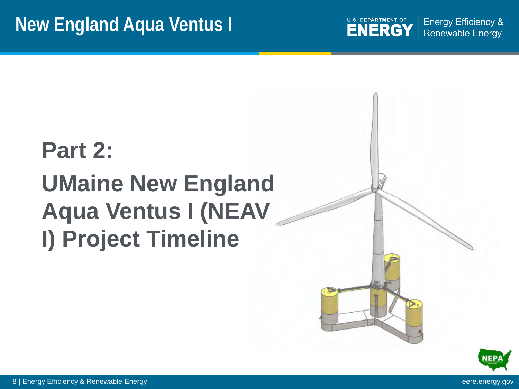

**Energy Efficiency & Renewable Energy** 

# **Part 2: UMaine New England Aqua Ventus I (NEAV I) Project Timeline**





8 | Energy Efficiency & Renewable Energy entry the state of the state of the state of the state of the state of the state of the state of the state of the state of the state of the state of the state of the state of the st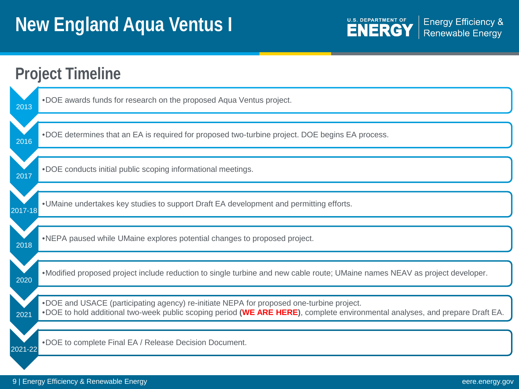U.S. DEPARTMENT OF Energy Efficiency &<br>Renewable Energy

| <b>Project Timeline</b> |                                                                                                                                                                                                                          |  |
|-------------------------|--------------------------------------------------------------------------------------------------------------------------------------------------------------------------------------------------------------------------|--|
| 2013                    | .DOE awards funds for research on the proposed Aqua Ventus project.                                                                                                                                                      |  |
| 2016                    | .DOE determines that an EA is required for proposed two-turbine project. DOE begins EA process.                                                                                                                          |  |
| 2017                    | .DOE conducts initial public scoping informational meetings.                                                                                                                                                             |  |
| 2017-18                 | . UMaine undertakes key studies to support Draft EA development and permitting efforts.                                                                                                                                  |  |
| 2018                    | .NEPA paused while UMaine explores potential changes to proposed project.                                                                                                                                                |  |
| 2020                    | •Modified proposed project include reduction to single turbine and new cable route; UMaine names NEAV as project developer.                                                                                              |  |
| 2021                    | .DOE and USACE (participating agency) re-initiate NEPA for proposed one-turbine project.<br>.DOE to hold additional two-week public scoping period (WE ARE HERE), complete environmental analyses, and prepare Draft EA. |  |
| 2021-22                 | .DOE to complete Final EA / Release Decision Document.                                                                                                                                                                   |  |
|                         |                                                                                                                                                                                                                          |  |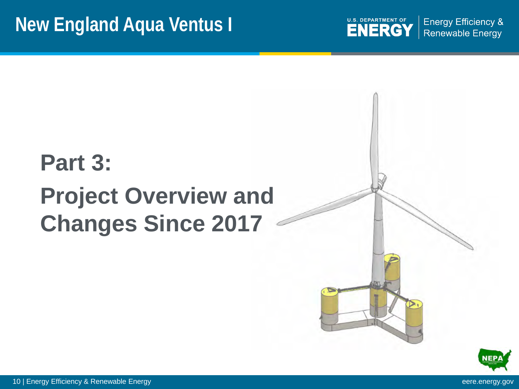U.S. DEPARTMENT OF ENERGY

**Energy Efficiency & Renewable Energy** 

# **Part 3: Project Overview and Changes Since 2017**



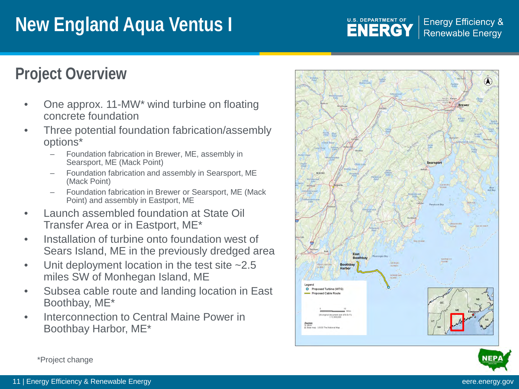**U.S. DEPARTMENT OF ENERGY** 

**Energy Efficiency & Renewable Energy** 

### **Project Overview Project Overview**

- One approx. 11-MW\* wind turbine on floating concrete foundation
- Three potential foundation fabrication/assembly options\*
	- Foundation fabrication in Brewer, ME, assembly in Searsport, ME (Mack Point)
	- Foundation fabrication and assembly in Searsport, ME (Mack Point)
	- Foundation fabrication in Brewer or Searsport, ME (Mack Point) and assembly in Eastport, ME
- Launch assembled foundation at State Oil Transfer Area or in Eastport, ME\*
- Installation of turbine onto foundation west of Sears Island, ME in the previously dredged area
- Unit deployment location in the test site  $~2.5$ miles SW of Monhegan Island, ME
- Subsea cable route and landing location in East Boothbay, ME\*
- Interconnection to Central Maine Power in Boothbay Harbor, ME\*





\*Project change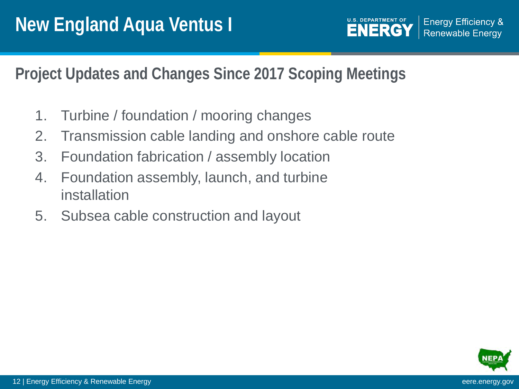**Project Updates and Changes Since 2017 Scoping Meetings**

- 1. Turbine / foundation / mooring changes
- 2. Transmission cable landing and onshore cable route
- 3. Foundation fabrication / assembly location
- 4. Foundation assembly, launch, and turbine installation
- 5. Subsea cable construction and layout

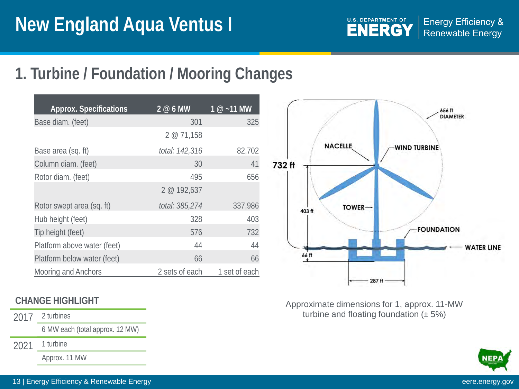

### **1. Turbine / Foundation / Mooring Changes**

| <b>Approx. Specifications</b> | $\overline{2}$ @ 6 MW | $1 @ -11$ MW  |
|-------------------------------|-----------------------|---------------|
| Base diam. (feet)             | 301                   | 325           |
|                               | 2@71,158              |               |
| Base area (sq. ft)            | total: 142,316        | 82,702        |
| Column diam. (feet)           | 30                    | 41            |
| Rotor diam. (feet)            | 495                   | 656           |
|                               | 2 @ 192,637           |               |
| Rotor swept area (sq. ft)     | total: 385,274        | 337,986       |
| Hub height (feet)             | 328                   | 403           |
| Tip height (feet)             | 576                   | 732           |
| Platform above water (feet)   | 44                    | 44            |
| Platform below water (feet)   | 66                    | 66            |
| <b>Mooring and Anchors</b>    | 2 sets of each        | 1 set of each |



2017 2 turbines

6 MW each (total approx. 12 MW)

2021 1 turbine

Approx. 11 MW



Approximate dimensions for 1, approx. 11-MW turbine and floating foundation (± 5%)

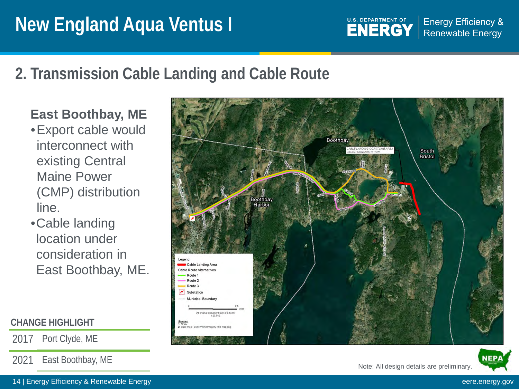U.S. DEPARTMENT OF **Energy Efficiency & ENERGY Renewable Energy** 

## **2. Transmission Cable Landing and Cable Route**

### **East Boothbay, ME**

- •Export cable would interconnect with existing Central Maine Power (CMP) distribution line.
- •Cable landing location under consideration in East Boothbay, ME.

#### **CHANGE HIGHLIGHT**

2017 Port Clyde, ME

2021 East Boothbay, ME



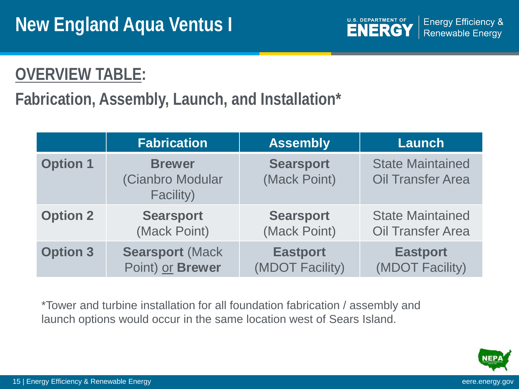

## **OVERVIEW TABLE:**

## **Fabrication, Assembly, Launch, and Installation\***

|                                                                   | <b>Fabrication</b>               | <b>Assembly</b>                    | <b>Launch</b>                                       |
|-------------------------------------------------------------------|----------------------------------|------------------------------------|-----------------------------------------------------|
| <b>Option 1</b><br><b>Brewer</b><br>(Cianbro Modular<br>Facility) |                                  | <b>Searsport</b><br>(Mack Point)   | <b>State Maintained</b><br><b>Oil Transfer Area</b> |
| <b>Option 2</b>                                                   | <b>Searsport</b><br>(Mack Point) | <b>Searsport</b><br>(Mack Point)   | <b>State Maintained</b><br><b>Oil Transfer Area</b> |
| <b>Option 3</b><br><b>Searsport (Mack</b><br>Point) or Brewer     |                                  | <b>Eastport</b><br>(MDOT Facility) | <b>Eastport</b><br>(MDOT Facility)                  |

\*Tower and turbine installation for all foundation fabrication / assembly and launch options would occur in the same location west of Sears Island.

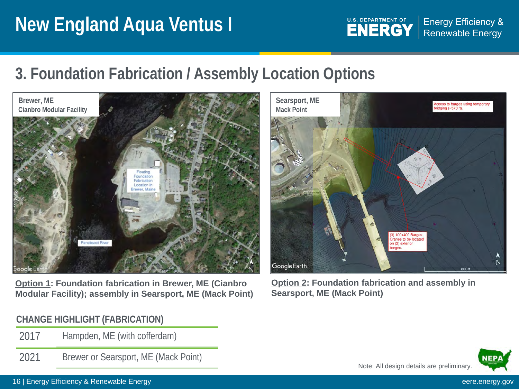

**Energy Efficiency & Renewable Energy** 

## **3. Foundation Fabrication / Assembly Location Options**



**Option 1: Foundation fabrication in Brewer, ME (Cianbro Modular Facility); assembly in Searsport, ME (Mack Point)**

#### **CHANGE HIGHLIGHT (FABRICATION)**

- 2017 Hampden, ME (with cofferdam)
- 2021 Brewer or Searsport, ME (Mack Point)



**Option 2: Foundation fabrication and assembly in Searsport, ME (Mack Point)**



#### 16 | Energy Efficiency & Renewable Energy eere.energy.gov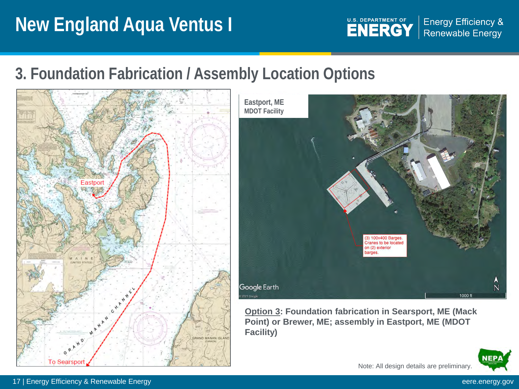

**Energy Efficiency & Renewable Energy** 

## **3. Foundation Fabrication / Assembly Location Options**





**Option 3: Foundation fabrication in Searsport, ME (Mack Point) or Brewer, ME; assembly in Eastport, ME (MDOT Facility)**

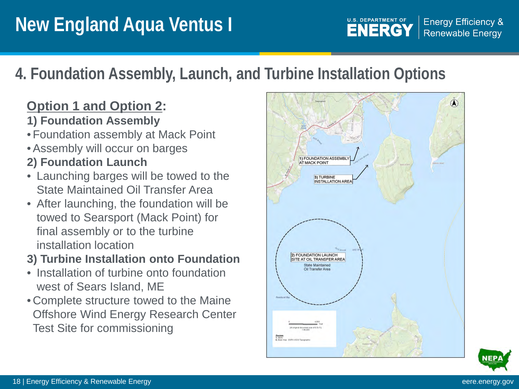# **4. Foundation Assembly, Launch, and Turbine Installation Options**

### **Option 1 and Option 2:**

- **1) Foundation Assembly**
- Foundation assembly at Mack Point
- •Assembly will occur on barges
- **2) Foundation Launch**
- Launching barges will be towed to the State Maintained Oil Transfer Area
- After launching, the foundation will be towed to Searsport (Mack Point) for final assembly or to the turbine installation location
- **3) Turbine Installation onto Foundation**
- Installation of turbine onto foundation west of Sears Island, ME
- Complete structure towed to the Maine Offshore Wind Energy Research Center Test Site for commissioning



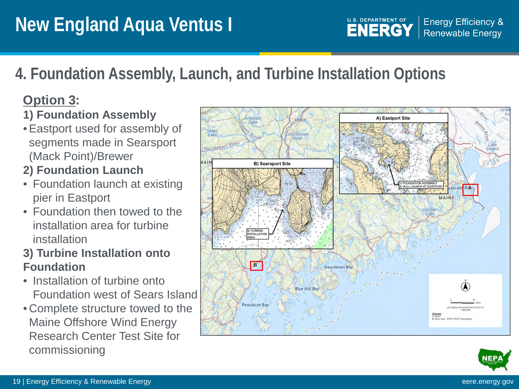#### **U.S. DEPARTMENT OF Energy Efficiency & ENERGY Renewable Energy**

# **4. Foundation Assembly, Launch, and Turbine Installation Options**

### **Option 3:**

### **1) Foundation Assembly**

•Eastport used for assembly of segments made in Searsport (Mack Point)/Brewer

### **2) Foundation Launch**

- Foundation launch at existing pier in Eastport
- Foundation then towed to the installation area for turbine installation

#### **3) Turbine Installation onto Foundation**

- Installation of turbine onto Foundation west of Sears Island
- Complete structure towed to the Maine Offshore Wind Energy Research Center Test Site for commissioning



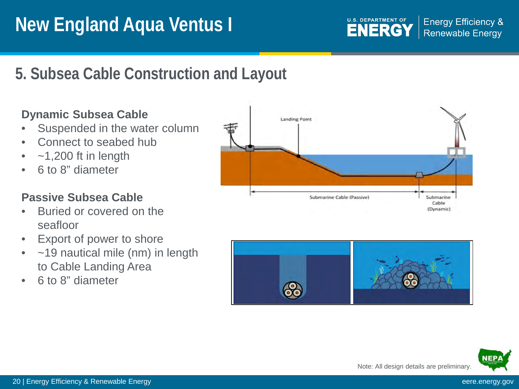# **Subsea Cable Construction and Layout 5. Subsea Cable Construction and Layout**

#### **Dynamic Subsea Cable**

- Suspended in the water column
- Connect to seabed hub
- $-1,200$  ft in length
- 6 to 8" diameter

#### **Passive Subsea Cable**

- Buried or covered on the seafloor
- Export of power to shore
- ~19 nautical mile (nm) in length to Cable Landing Area
- 6 to 8" diameter



**U.S. DEPARTMENT OF** 

**ENERGY** 

**Energy Efficiency &** 

**Renewable Energy**